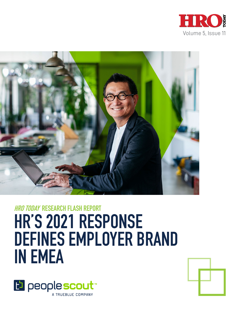



# **HRO TODAY RESEARCH FLASH REPORT HR'S 2021 RESPONSE DEFINES EMPLOYER BRAND IN EMEA**



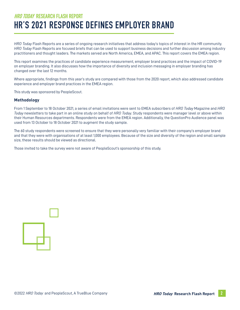# **HRO TODAY RESEARCH FLASH REPORT HR'S 2021 RESPONSE DEFINES EMPLOYER BRAND**

*HRO Today* Flash Reports are a series of ongoing research initiatives that address today's topics of interest in the HR community. *HRO Today* Flash Reports are focused briefs that can be used to support business decisions and further discussion among industry practitioners and thought leaders. The markets served are North America, EMEA, and APAC. This report covers the EMEA region.

This report examines the practices of candidate experience measurement, employer brand practices and the impact of COVID-19 on employer branding. It also discusses how the importance of diversity and inclusion messaging in employer branding has changed over the last 12 months.

Where appropriate, findings from this year's study are compared with those from the 2020 report, which also addressed candidate experience and employer brand practices in the EMEA region.

This study was sponsored by PeopleScout.

#### **Methodology**

From 1 September to 18 October 2021, a series of email invitations were sent to EMEA subscribers of *HRO Today* Magazine and *HRO Today* newsletters to take part in an online study on behalf of *HRO Today*. Study respondents were manager level or above within their Human Resources departments. Respondents were from the EMEA region. Additionally, the QuestionPro Audience panel was used from 13 October to 18 October 2021 to augment the study sample.

The 60 study respondents were screened to ensure that they were personally very familiar with their company's employer brand and that they were with organisations of at least 1,000 employees. Because of the size and diversity of the region and small sample size, these results should be viewed as directional.

Those invited to take the survey were not aware of PeopleScout's sponsorship of this study.

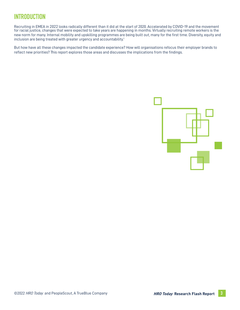# **INTRODUCTION**

Recruiting in EMEA in 2022 looks radically different than it did at the start of 2020. Accelerated by COVID-19 and the movement for racial justice, changes that were expected to take years are happening in months. Virtually recruiting remote workers is the new norm for many. Internal mobility and upskilling programmes are being built out, many for the first time. Diversity, equity and inclusion are being treated with greater urgency and accountability.<sup>1</sup>

But how have all these changes impacted the candidate experience? How will organisations refocus their employer brands to reflect new priorities? This report explores those areas and discusses the implications from the findings.

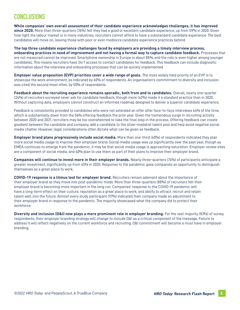# **CONCLUSIONS**

**While companies' own overall assessment of their candidate experience acknowledges challenges, it has improved since 2020.** More than three-quarters (76%) felt they had a good or excellent candidate experience, up from 59% in 2020. Given how tight the labour market is in many industries, recruiters cannot afford to have a substandard candidate experience. The best candidates will move on, leaving those with poor or even mediocre candidate experience practices behind.

**The top three candidate experience challenges faced by employers are providing a timely interview process, onboarding practices in need of improvement and not having a formal way to capture candidate feedback.** Processes that are not measured cannot be improved. Smartphone ownership in Europe is about 85%, and the rate is even higher among younger candidates. This means recruiters have 24/7 access to contact candidates for feedback. This feedback can include diagnostic information about the interview and onboarding processes that can be quickly implemented.

**Employer value proposition (EVP) priorities cover a wide range of goals.** The most widely held priority of an EVP is to showcase the work environment, as indicated by 60% of respondents. An organisation's commitment to diversity and inclusion was cited the second most often, by 50% of respondents.

**Feedback about the recruiting experience remains sporadic, both from and to candidates.** Overall, nearly one-quarter (24%) of recruiters surveyed never ask for candidate feedback, though more (42%) made it a standard practice than in 2020. Without capturing data, employers cannot construct an informed roadmap designed to deliver a superior candidate experience.

Feedback is consistently provided to candidates who were not extended an offer after face-to-face interviews 44% of the time, which is substantially down from the 56% offering feedback the prior year. Given the tremendous surge in recruiting activity between 2020 and 2021, recruiters may be too overwhelmed to take the final step in the process. Offering feedback can create goodwill between the candidate and company, add a candidate to the silver-medalist talent pool and help avoid negative social media chatter. However, legal considerations often dictate what can be given as feedback.

**Employer brand plans progressively include social media.** More than one-third (40%) of respondents indicated they plan more social media usage to improve their employer brand. Social media usage was up significantly over the past year, though as EMEA continues to emerge from the pandemic, it may be that social media usage is approaching saturation. Employer review sites are a component of social media, and 40% plan to use them as part of their plans to improve their employer brand.

**Companies will continue to invest more in their employer brands.** Nearly three-quarters (74%) of participants anticipate a greater investment, significantly up from 45% in 2020. Response to the pandemic gave companies an opportunity to distinguish themselves as a great place to work.

**COVID-19 response is a litmus test for employer brand.** Recruiters remain adamant about the importance of their employer brand as they move into post-pandemic mode. More than three-quarters (88%) of recruiters felt their employer brand is becoming more important in the long run. Companies' response to the COVID-19 pandemic will have a long-term effect on their culture, reputation as a great place to work, and ability to attract, recruit and retain talent well into the future. Almost every study participant (97%) indicated their company made an adjustment to their employer brand in response to the pandemic. The majority showcased what the company did to protect their workforce.

**Diversity and inclusion (D&I) now plays a more prominent role in employer branding.** For the vast majority (83%) of survey respondents, their employer branding strategy will change to include D&I as a critical component of the message. Failure to address it will reflect negatively on the current workforce and recruiting. D&I commitment will become a must have in employer branding.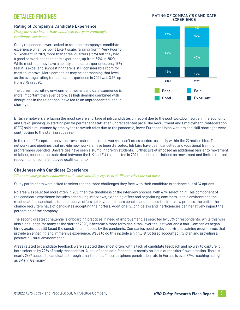# **DETAILED FINDINGS**

# Rating of Company's Candidate Experience

*Using the scale below, how would you rate your company's candidate experience?*

Study respondents were asked to rate their company's candidate experience on a five-point Likert scale, ranging from 1-Very Poor to 5-Excellent. In 2021, more than three-quarters (76%) felt they had a good or excellent candidate experience, up from 59% in 2020. While most feel they have a quality candidate experience, only 19% feel it is excellent, suggesting there is still considerable room for most to improve. More companies may be approaching that level, as the average rating for candidate experience in 2021 was 3.95, up from 3.75 in 2020.

The current recruiting environment means candidate experience is more important than ever before, as high demand combined with disruptions in the talent pool have led to an unprecedented labour shortage.





British employers are facing the most severe shortage of job candidates on record due to the post-lockdown surge in the economy and Brexit, pushing up starting pay for permanent staff at an unprecedented pace. The Recruitment and Employment Confederation (REC) said a reluctance by employees to switch roles due to the pandemic, fewer European Union workers and skill shortages were contributing to the staffing squeeze.<sup>2</sup>

In the rest of Europe, coronavirus travel restrictions mean workers can't cross borders as easily within the 27-nation bloc. The networks and pipelines that provide new workers have been disrupted. Job fairs have been cancelled and vocational training programmes upended. Universities have seen a slump in foreign students. Further, Brexit imposed an additional barrier to movement of labour, because the trade deal between the UK and EU that started in 2021 includes restrictions on movement and limited mutual recognition of some employee qualifications.3

# Challenges with Candidate Experience

#### *What are your greatest challenges with your candidate experience? Please select the top three.*

Study participants were asked to select the top three challenges they face with their candidate experience out of 14 options.

No area was selected more often in 2021 than the timeliness of the interview process, with 41% selecting it. This component of the candidate experience includes scheduling interviews, extending offers and negotiating contracts. In this environment, the most qualified candidates tend to receive offers quickly, so the more concise and focused the interview process, the better the chance recruiters have of candidates accepting their offers. Additionally, long delays and inefficiencies can negatively impact the perception of the company.

The second greatest challenge is onboarding practices in need of improvement, as selected by 35% of respondents. While this was also a challenge for many at the start of 2020, it became a more formidable task over the last year and a half. Companies began hiring again, but still faced the constraints imposed by the pandemic. Companies need to develop virtual training programmes that provide an engaging and immersive experience. Ways to do this include a highly structured accountability plan and providing a positive cultural environment.4

Areas related to candidate feedback were selected third most often, with a lack of candidate feedback and no way to capture it both selected by 29% of study respondents. A lack of candidate feedback is mostly an issue of recruiters' own creation. There is nearly 24/7 access to candidates through smartphones. The smartphone penetration rate in Europe is over 77%, reaching as high as 87% in Germany.5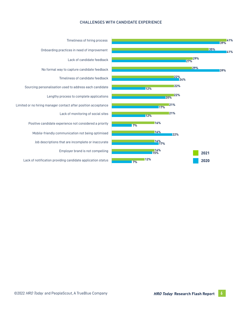#### CHALLENGES WITH CANDIDATE EXPERIENCE



Timeliness of hiring process Onboarding practices in need of improvement Lack of candidate feedback No formal way to capture candidate feedback Timeliness of candidate feedback Sourcing personalisation used to address each candidate Lengthy process to complete applications Limited or no hiring manager contact after position acceptance Lack of monitoring of social sites Positive candidate experience not considered a priority Mobile-friendly communication not being optimised Job descriptions that are incomplete or inaccurate Employer brand is not compelling Lack of notification providing candidate application status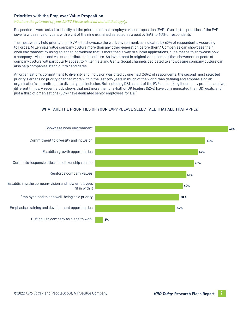### Priorities with the Employer Value Proposition

#### *What are the priorities of your EVP? Please select all that all that apply.*

Respondents were asked to identify all the priorities of their employer value proposition (EVP). Overall, the priorities of the EVP cover a wide range of goals, with eight of the nine examined selected as a goal by 36% to 60% of respondents.

The most widely held priority of an EVP is to showcase the work environment, as indicated by 60% of respondents. According to Forbes, Millennials value company culture more than any other generation before them.<sup>6</sup> Companies can showcase their work environment by using an engaging website that is more than a way to submit applications, but a means to showcase how a company's visions and values contribute to its culture. An investment in original video content that showcases aspects of company culture will particularly appeal to Millennials and Gen Z. Social channels dedicated to showcasing company culture can also help companies stand out to candidates.

An organisation's commitment to diversity and inclusion was cited by one-half (50%) of respondents, the second most selected priority. Perhaps no priority changed more within the last two years in much of the world than defining and emphasising an organisation's commitment to diversity and inclusion. But including D&I as part of the EVP and making it company practice are two different things. A recent study shows that just more than one-half of UK leaders (52%) have communicated their D&I goals, and just a third of organisations (33%) have dedicated senior employees for D&I.<sup>7</sup>



#### WHAT ARE THE PRIORITIES OF YOUR EVP? PLEASE SELECT ALL THAT ALL THAT APPLY.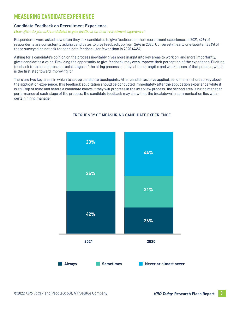# **MEASURING CANDIDATE EXPERIENCE**

# Candidate Feedback on Recruitment Experience

#### *How often do you ask candidates to give feedback on their recruitment experience?*

Respondents were asked how often they ask candidates to give feedback on their recruitment experience. In 2021, 42% of respondents are consistently asking candidates to give feedback, up from 26% in 2020. Conversely, nearly one-quarter (23%) of those surveyed do not ask for candidate feedback, far fewer than in 2020 (44%).

Asking for a candidate's opinion on the process inevitably gives more insight into key areas to work on, and more importantly, gives candidates a voice. Providing the opportunity to give feedback may even improve their perception of the experience. Eliciting feedback from candidates at crucial stages of the hiring process can reveal the strengths and weaknesses of that process, which is the first step toward improving it.<sup>8</sup>

There are two key areas in which to set up candidate touchpoints. After candidates have applied, send them a short survey about the application experience. This feedback solicitation should be conducted immediately after the application experience while it is still top of mind and before a candidate knows if they will progress in the interview process. The second area is hiring manager performance at each stage of the process. The candidate feedback may show that the breakdown in communication lies with a certain hiring manager.



#### FREQUENCY OF MEASURING CANDIDATE EXPERIENCE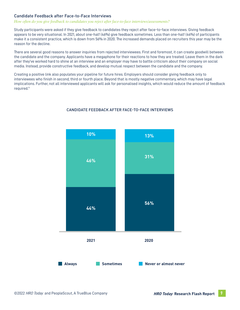# Candidate Feedback after Face-to-Face Interviews

#### *How often do you give feedback to candidates you reject after face-to-face interviews/assessments?*

Study participants were asked if they give feedback to candidates they reject after face-to-face interviews. Giving feedback appears to be very situational. In 2021, about one-half (46%) give feedback sometimes. Less than one-half (44%) of participants make it a consistent practice, which is down from 56% in 2020. The increased demands placed on recruiters this year may be the reason for the decline.

There are several good reasons to answer inquiries from rejected interviewees. First and foremost, it can create goodwill between the candidate and the company. Applicants have a megaphone for their reactions to how they are treated. Leave them in the dark after they've worked hard to shine at an interview and an employer may have to battle criticism about their company on social media. Instead, provide constructive feedback, and develop mutual respect between the candidate and the company.

Creating a positive link also populates your pipeline for future hires. Employers should consider giving feedback only to interviewees who finish in second, third or fourth place. Beyond that is mostly negative commentary, which may have legal implications. Further, not all interviewed applicants will ask for personalised insights, which would reduce the amount of feedback required.9



#### CANDIDATE FEEDBACK AFTER FACE-TO-FACE INTERVIEWS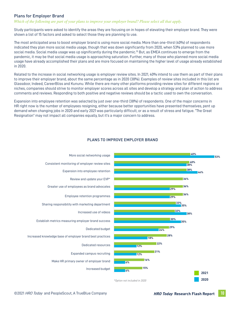### Plans for Employer Brand

*Which of the following are part of your plans to improve your employer brand? Please select all that apply.* 

Study participants were asked to identify the areas they are focusing on in hopes of elevating their employer brand. They were shown a list of 15 factors and asked to select those they are planning to use.

The most anticipated area to boost employer brand is using more social media. More than one-third (40%) of respondents indicated they plan more social media usage, though that was down significantly from 2020, when 53% planned to use more social media. Social media usage was up significantly during the pandemic.<sup>10</sup> But, as EMEA continues to emerge from the pandemic, it may be that social media usage is approaching saturation. Further, many of those who planned more social media usage have already accomplished their plans and are more focused on maintaining the higher level of usage already established in 2020.

Related to the increase in social networking usage is employer review sites. In 2021, 40% intend to use them as part of their plans to improve their employer brand, about the same percentage as in 2020 (38%). Examples of review sites included in this list are Glassdoor, Indeed, CareerBliss and Kununu. While there are many other platforms providing review sites for different regions or niches, companies should strive to monitor employer scores across all sites and develop a strategy and plan of action to address comments and reviews. Responding to both positive and negative reviews should be a tactic used to own the conversation.

Expansion into employee retention was selected by just over one-third (38%) of respondents. One of the major concerns in HR right now is the number of employees resigning, either because better opportunities have presented themselves, pent up demand when changing jobs in 2020 and early 2021 was particularly difficult, or as a result of stress and fatigue. "The Great Resignation" may not impact all companies equally, but it's a major concern to address.



### PLANS TO IMPROVE EMPLOYER BRAND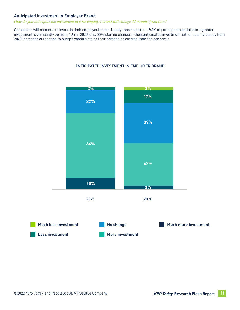### Anticipated Investment in Employer Brand

#### *How do you anticipate the investment in your employer brand will change 24 months from now?*

Companies will continue to invest in their employer brands. Nearly three-quarters (74%) of participants anticipate a greater investment, significantly up from 45% in 2020. Only 22% plan no change in their anticipated investment, either holding steady from 2020 increases or reacting to budget constraints as their companies emerge from the pandemic.



#### ANTICIPATED INVESTMENT IN EMPLOYER BRAND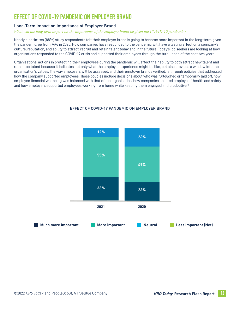# **EFFECT OF COVID-19 PANDEMIC ON EMPLOYER BRAND**

# Long-Term Impact on Importance of Employer Brand

*What will the long-term impact on the importance of the employer brand be given the COVID-19 pandemic?* 

Nearly nine-in-ten (88%) study respondents felt their employer brand is going to become more important in the long-term given the pandemic, up from 74% in 2020. How companies have responded to the pandemic will have a lasting effect on a company's culture, reputation, and ability to attract, recruit and retain talent today and in the future. Today's job seekers are looking at how organisations responded to the COVID-19 crisis and supported their employees through the turbulence of the past two years.

Organisations' actions in protecting their employees during the pandemic will affect their ability to both attract new talent and retain top talent because it indicates not only what the employee experience might be like, but also provides a window into the organisation's values. The way employers will be assessed, and their employer brands verified, is through policies that addressed how the company supported employees. Those policies include decisions about who was furloughed or temporarily laid off, how employee financial wellbeing was balanced with that of the organisation, how companies ensured employees' health and safety, and how employers supported employees working from home while keeping them engaged and productive.<sup>11</sup>



### EFFECT OF COVID-19 PANDEMIC ON EMPLOYER BRAND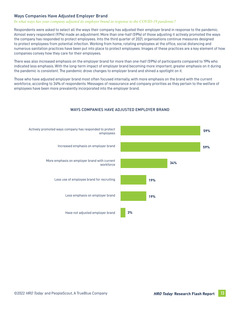# Ways Companies Have Adjusted Employer Brand

#### *In what ways has your company adjusted its employer brand in response to the COVID-19 pandemic?*

Respondents were asked to select all the ways their company has adjusted their employer brand in response to the pandemic. Almost every respondent (97%) made an adjustment. More than one-half (59%) of those adjusting it actively promoted the ways the company has responded to protect employees. Into the third quarter of 2021, organisations continue measures designed to protect employees from potential infection. Working from home, rotating employees at the office, social distancing and numerous sanitation practices have been put into place to protect employees. Images of these practices are a key element of how companies convey how they care for their employees.

There was also increased emphasis on the employer brand for more than one-half (59%) of participants compared to 19% who indicated less emphasis. With the long-term impact of employer brand becoming more important, greater emphasis on it during the pandemic is consistent. The pandemic drove changes to employer brand and shined a spotlight on it.

Those who have adjusted employer brand most often focused internally, with more emphasis on the brand with the current workforce, according to 34% of respondents. Messages of reassurance and company priorities as they pertain to the welfare of employees have been more prevalently incorporated into the employer brand.



#### WAYS COMPANIES HAVE ADJUSTED EMPLOYER BRAND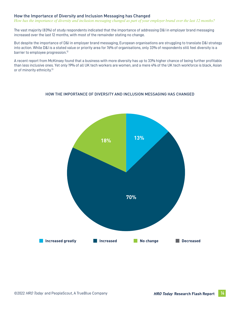#### How the Importance of Diversity and Inclusion Messaging has Changed

*How has the importance of diversity and inclusion messaging changed as part of your employer brand over the last 12 months?*

The vast majority (83%) of study respondents indicated that the importance of addressing D&I in employer brand messaging increased over the last 12 months, with most of the remainder stating no change.

But despite the importance of D&I in employer brand messaging, European organisations are struggling to translate D&I strategy into action. While D&I is a stated value or priority area for 76% of organisations, only 33% of respondents still feel diversity is a barrier to employee progression.<sup>12</sup>

A recent report from McKinsey found that a business with more diversity has up to 33% higher chance of being further profitable than less inclusive ones. Yet only 19% of all UK tech workers are women, and a mere 4% of the UK tech workforce is black, Asian or of minority ethnicity.<sup>13</sup>

#### HOW THE IMPORTANCE OF DIVERSITY AND INCLUSION MESSAGING HAS CHANGED

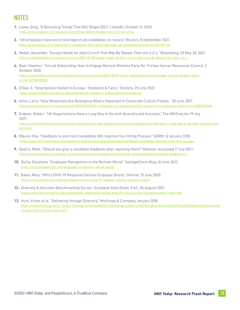# **NOTES**

- **1.** Lewis, Greg. "6 Recruiting Trends That Will Shape 2021," LinkedIn, October 21, 2020 https://www.linkedin.com/business/talent/blog/talent-strategy/future-of-recruiting
- **2.** "UK employers face worst shortage of job candidates on record," Reuters, 8 September 2021. [https://www.reuters.com/world/uk/uk-employers-face-worst-shortage-job-candidates-record-rec-2021-09-09/](https://www.linkedin.com/business/talent/blog/talent-strategy/future-of-recruiting)
- **3.** Weber, Alexander. "Europe Heads for Jobs Crunch That May Be Deeper Than the U.S.'s," Bloomberg, 20 May 20, 2021. <https://www.bloomberg.com/news/articles/2021-05-20/europe-heads-for-jobs-crunch-that-may-be-deeper-than-the-u-s-s>
- **4.** Baer, Stephen. "Virtual Onboarding: How to Engage Remote Workers Early On," Forbes Human Resources Council, 2 October 2020. [https://www.forbes.com/sites/forbeshumanresourcescouncil/2020/10/02/virtual-onboarding-how-to-engage-remote-workers-early](https://www.forbes.com/sites/forbeshumanresourcescouncil/2020/10/02/virtual-onboarding-how-to-engage-remote-workers-early-on/?sh=33156feaf0a3)   [on/?sh=33156feaf0a3](https://www.forbes.com/sites/forbeshumanresourcescouncil/2020/10/02/virtual-onboarding-how-to-engage-remote-workers-early-on/?sh=33156feaf0a3)
- **5.** O'Dea, S. "Smartphone market in Europe Statistics & Facts," Statista, 25 June 2021. <https://www.statista.com/topics/3341/smartphone-market-in-europe/#dossierKeyfigures>
- **6.** Alton, Larry. "How Millennials Are Reshaping What's Important In Corporate Culture, Forbes, 20 June, 2017. <https://www.forbes.com/sites/larryalton/2017/06/20/how-millennials-are-reshaping-whats-important-in-corporate-culture/?sh=6f22a03f2dfb>
- **7.** Ordever, Robert. "UK Organisations Have a Long Way to Go with Diversity and Inclusion," The HR Director, 19 July 2021. [https://www.thehrdirector.com/business-news/diversity-and-equality-inclusion/uk-organisations-still-have-a-long-way-to-go-with-diversity-and](https://www.thehrdirector.com/business-news/diversity-and-equality-inclusion/uk-organisations-still-have-a-long-way-to-go-with-diversity-and-inclusion/)  [inclusion/](https://www.thehrdirector.com/business-news/diversity-and-equality-inclusion/uk-organisations-still-have-a-long-way-to-go-with-diversity-and-inclusion/)
- **8.** Maurer, Roy. "Feedback to and from Candidates Will Improve Your Hiring Process," SHRM, 12 January 2018. <https://www.shrm.org/resourcesandtools/hr-topics/talent-acquisition/pages/feedback-candidates-improve-hiring-process.aspx>
- **9.** Swartz, Mark. "Should you give a candidate feedback after rejecting them?" Monster, Accessed 17 July 2021. <https://hiring.monster.ca/employer-resources/recruiting-strategies/screening-job-candidates/give-candidate-feedback-ca/>
- **10.** Dutta, Darshana. "Employee Recognition in the Remote World," VantageCircle Blog, 16 June 2021. <https://blog.vantagecircle.com/employee-recognition-remote-world/>
- **11.** Baker, Mary. "HR's COVID-19 Response Defines Employer Brand," Gartner, 15 June 2020. <https://www.gartner.com/smarterwithgartner/hrs-covid-19-response-defines-employer-brand/>
- **12.** Diversity & Inclusion Benchmarking Survey -European Data Sheet. PwC, 06 August 2021. <https://www.pwc.com/gx/en/services/people-organisation/global-diversity-and-inclusion-survey/european-report.pdf>
- **13.** Hunt, Vivien et al. "Delivering through Diversity," McKinsey & Company, January 2018. [https://www.mckinsey.com/~/media/mckinsey/business%20functions/organization/our%20insights/delivering%20through%20diversity/delivering](https://www.mckinsey.com/~/media/mckinsey/business functions/organization/our insights/delivering through diversity/delivering-through-diversity_full-report.ashx)   [through-diversity\\_full-report.ashx](https://www.mckinsey.com/~/media/mckinsey/business functions/organization/our insights/delivering through diversity/delivering-through-diversity_full-report.ashx)